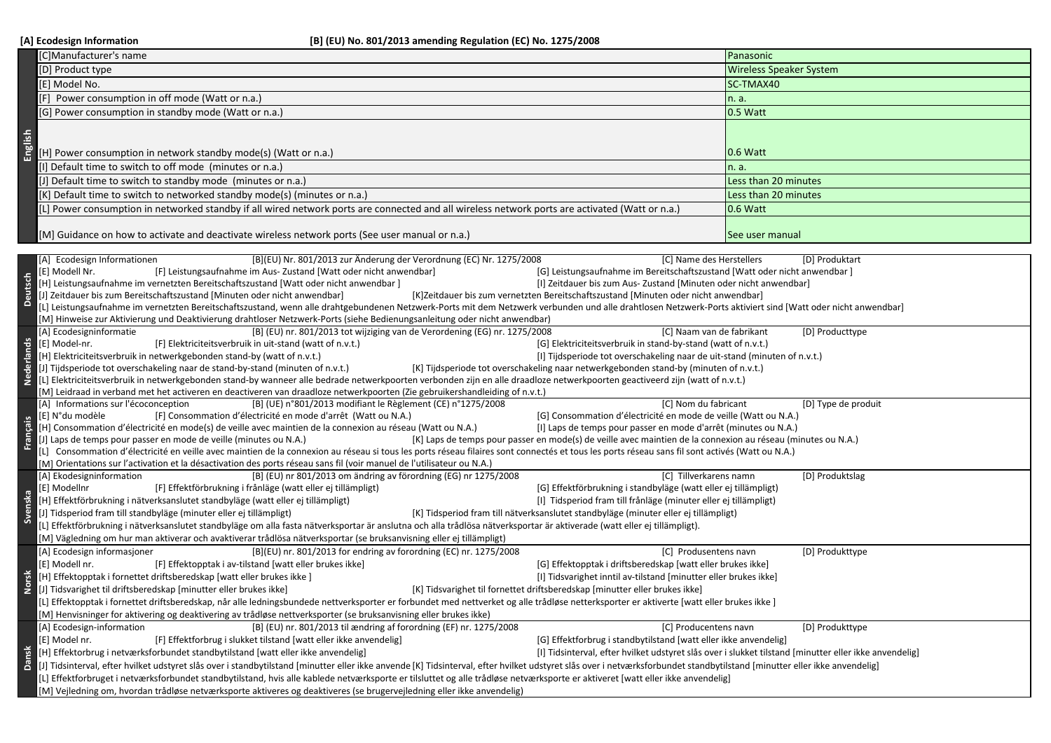|                   | [C]Manufacturer's name                                                                                                                                                                                                                                                                                                                                                                                       | Panasonic                                                                                              |  |
|-------------------|--------------------------------------------------------------------------------------------------------------------------------------------------------------------------------------------------------------------------------------------------------------------------------------------------------------------------------------------------------------------------------------------------------------|--------------------------------------------------------------------------------------------------------|--|
|                   | [D] Product type                                                                                                                                                                                                                                                                                                                                                                                             | <b>Wireless Speaker System</b>                                                                         |  |
|                   | [E] Model No.                                                                                                                                                                                                                                                                                                                                                                                                | SC-TMAX40                                                                                              |  |
|                   | [F] Power consumption in off mode (Watt or n.a.)                                                                                                                                                                                                                                                                                                                                                             | n. a.                                                                                                  |  |
|                   | [G] Power consumption in standby mode (Watt or n.a.)                                                                                                                                                                                                                                                                                                                                                         | 0.5 Watt                                                                                               |  |
|                   |                                                                                                                                                                                                                                                                                                                                                                                                              |                                                                                                        |  |
|                   |                                                                                                                                                                                                                                                                                                                                                                                                              |                                                                                                        |  |
| English           | [H] Power consumption in network standby mode(s) (Watt or n.a.)                                                                                                                                                                                                                                                                                                                                              | 0.6 Watt                                                                                               |  |
|                   | [I] Default time to switch to off mode (minutes or n.a.)                                                                                                                                                                                                                                                                                                                                                     | n. a.                                                                                                  |  |
|                   | [J] Default time to switch to standby mode (minutes or n.a.)                                                                                                                                                                                                                                                                                                                                                 | Less than 20 minutes                                                                                   |  |
|                   | [K] Default time to switch to networked standby mode(s) (minutes or n.a.)                                                                                                                                                                                                                                                                                                                                    | Less than 20 minutes                                                                                   |  |
|                   | [L] Power consumption in networked standby if all wired network ports are connected and all wireless network ports are activated (Watt or n.a.)                                                                                                                                                                                                                                                              | 0.6 Watt                                                                                               |  |
|                   |                                                                                                                                                                                                                                                                                                                                                                                                              |                                                                                                        |  |
|                   | [M] Guidance on how to activate and deactivate wireless network ports (See user manual or n.a.)                                                                                                                                                                                                                                                                                                              | See user manual                                                                                        |  |
|                   |                                                                                                                                                                                                                                                                                                                                                                                                              |                                                                                                        |  |
|                   | [A] Ecodesign Informationen<br>[B](EU) Nr. 801/2013 zur Änderung der Verordnung (EC) Nr. 1275/2008<br>[C] Name des Herstellers<br>[D] Produktart                                                                                                                                                                                                                                                             |                                                                                                        |  |
|                   | [F] Leistungsaufnahme im Aus- Zustand [Watt oder nicht anwendbar]<br>[G] Leistungsaufnahme im Bereitschaftszustand [Watt oder nicht anwendbar]<br>[E] Modell Nr.                                                                                                                                                                                                                                             |                                                                                                        |  |
| Deutsch           | [H] Leistungsaufnahme im vernetzten Bereitschaftszustand [Watt oder nicht anwendbar]<br>[I] Zeitdauer bis zum Aus- Zustand [Minuten oder nicht anwendbar]                                                                                                                                                                                                                                                    |                                                                                                        |  |
|                   | [J] Zeitdauer bis zum Bereitschaftszustand [Minuten oder nicht anwendbar]<br>[K]Zeitdauer bis zum vernetzten Bereitschaftszustand [Minuten oder nicht anwendbar]                                                                                                                                                                                                                                             |                                                                                                        |  |
|                   | [L] Leistungsaufnahme im vernetzten Bereitschaftszustand, wenn alle drahtgebundenen Netzwerk-Ports mit dem Netzwerk verbunden und alle drahtlosen Netzwerk-Ports aktiviert sind [Watt oder nicht anwendbar]<br>[M] Hinweise zur Aktivierung und Deaktivierung drahtloser Netzwerk-Ports (siehe Bedienungsanleitung oder nicht anwendbar)                                                                     |                                                                                                        |  |
|                   | [A] Ecodesigninformatie<br>[B] (EU) nr. 801/2013 tot wijziging van de Verordening (EG) nr. 1275/2008<br>[C] Naam van de fabrikant                                                                                                                                                                                                                                                                            | [D] Producttype                                                                                        |  |
|                   | [E] Model-nr.<br>[G] Elektriciteitsverbruik in stand-by-stand (watt of n.v.t.)<br>[F] Elektriciteitsverbruik in uit-stand (watt of n.v.t.)                                                                                                                                                                                                                                                                   |                                                                                                        |  |
|                   | [H] Elektriciteitsverbruik in netwerkgebonden stand-by (watt of n.v.t.)<br>[I] Tijdsperiode tot overschakeling naar de uit-stand (minuten of n.v.t.)                                                                                                                                                                                                                                                         |                                                                                                        |  |
| <b>Nederlands</b> | [J] Tijdsperiode tot overschakeling naar de stand-by-stand (minuten of n.v.t.)<br>[K] Tijdsperiode tot overschakeling naar netwerkgebonden stand-by (minuten of n.v.t.)                                                                                                                                                                                                                                      |                                                                                                        |  |
|                   | [L] Elektriciteitsverbruik in netwerkgebonden stand-by wanneer alle bedrade netwerkpoorten verbonden zijn en alle draadloze netwerkpoorten geactiveerd zijn (watt of n.v.t.)                                                                                                                                                                                                                                 |                                                                                                        |  |
|                   | [M] Leidraad in verband met het activeren en deactiveren van draadloze netwerkpoorten (Zie gebruikershandleiding of n.v.t.)<br>[A] Informations sur l'écoconception                                                                                                                                                                                                                                          |                                                                                                        |  |
|                   | [B] (UE) n°801/2013 modifiant le Règlement (CE) n°1275/2008<br>[C] Nom du fabricant<br>[E] N°du modèle<br>[F] Consommation d'électricité en mode d'arrêt (Watt ou N.A.)<br>[G] Consommation d'électricité en mode de veille (Watt ou N.A.)                                                                                                                                                                   | [D] Type de produit                                                                                    |  |
| Français          | [H] Consommation d'électricité en mode(s) de veille avec maintien de la connexion au réseau (Watt ou N.A.)<br>[I] Laps de temps pour passer en mode d'arrêt (minutes ou N.A.)                                                                                                                                                                                                                                |                                                                                                        |  |
|                   | [J] Laps de temps pour passer en mode de veille (minutes ou N.A.)<br>[K] Laps de temps pour passer en mode(s) de veille avec maintien de la connexion au réseau (minutes ou N.A.)                                                                                                                                                                                                                            |                                                                                                        |  |
|                   | [L] Consommation d'électricité en veille avec maintien de la connexion au réseau si tous les ports réseau filaires sont connectés et tous les ports réseau sans fil sont activés (Watt ou N.A.)                                                                                                                                                                                                              |                                                                                                        |  |
|                   | [M] Orientations sur l'activation et la désactivation des ports réseau sans fil (voir manuel de l'utilisateur ou N.A.)                                                                                                                                                                                                                                                                                       |                                                                                                        |  |
|                   | [A] Ekodesigninformation<br>[B] (EU) nr 801/2013 om ändring av förordning (EG) nr 1275/2008<br>[C] Tillverkarens namn                                                                                                                                                                                                                                                                                        | [D] Produktslag                                                                                        |  |
| $\overline{3}$    | [E] Modellnr<br>[F] Effektförbrukning i frånläge (watt eller ej tillämpligt)<br>[G] Effektförbrukning i standbyläge (watt eller ej tillämpligt)<br>[I] Tidsperiod fram till frånläge (minuter eller ej tillämpligt)                                                                                                                                                                                          |                                                                                                        |  |
| Svensk            | [H] Effektförbrukning i nätverksanslutet standbyläge (watt eller ej tillämpligt)<br>[J] Tidsperiod fram till standbyläge (minuter eller ej tillämpligt)<br>[K] Tidsperiod fram till nätverksanslutet standbyläge (minuter eller ej tillämpligt)                                                                                                                                                              |                                                                                                        |  |
|                   | [L] Effektförbrukning i nätverksanslutet standbyläge om alla fasta nätverksportar är anslutna och alla trådlösa nätverksportar är aktiverade (watt eller ej tillämpligt).                                                                                                                                                                                                                                    |                                                                                                        |  |
|                   | [M] Vägledning om hur man aktiverar och avaktiverar trådlösa nätverksportar (se bruksanvisning eller ej tillämpligt)                                                                                                                                                                                                                                                                                         |                                                                                                        |  |
|                   | [B](EU) nr. 801/2013 for endring av forordning (EC) nr. 1275/2008<br>[A] Ecodesign informasjoner<br>[C] Produsentens navn                                                                                                                                                                                                                                                                                    | [D] Produkttype                                                                                        |  |
|                   | [E] Modell nr.<br>[F] Effektopptak i av-tilstand [watt eller brukes ikke]<br>[G] Effektopptak i driftsberedskap [watt eller brukes ikke]                                                                                                                                                                                                                                                                     |                                                                                                        |  |
| Norsk             | [H] Effektopptak i fornettet driftsberedskap [watt eller brukes ikke ]<br>[I] Tidsvarighet inntil av-tilstand [minutter eller brukes ikke]                                                                                                                                                                                                                                                                   |                                                                                                        |  |
|                   | [J] Tidsvarighet til driftsberedskap [minutter eller brukes ikke]<br>[K] Tidsvarighet til fornettet driftsberedskap [minutter eller brukes ikke]                                                                                                                                                                                                                                                             |                                                                                                        |  |
|                   | [L] Effektopptak i fornettet driftsberedskap, når alle ledningsbundede nettverksporter er forbundet med nettverket og alle trådløse netterksporter er aktiverte [watt eller brukes ikke ]                                                                                                                                                                                                                    |                                                                                                        |  |
|                   | [M] Henvisninger for aktivering og deaktivering av trådløse nettverksporter (se bruksanvisning eller brukes ikke)                                                                                                                                                                                                                                                                                            |                                                                                                        |  |
| <b>Dansk</b>      | [A] Ecodesign-information<br>[B] (EU) nr. 801/2013 til ændring af forordning (EF) nr. 1275/2008<br>[C] Producentens navn                                                                                                                                                                                                                                                                                     | [D] Produkttype                                                                                        |  |
|                   | [G] Effektforbrug i standbytilstand [watt eller ikke anvendelig]<br>[F] Effektforbrug i slukket tilstand [watt eller ikke anvendelig]<br>[E] Model nr.                                                                                                                                                                                                                                                       |                                                                                                        |  |
|                   | [H] Effektorbrug i netværksforbundet standbytilstand [watt eller ikke anvendelig]                                                                                                                                                                                                                                                                                                                            | [I] Tidsinterval, efter hvilket udstyret slås over i slukket tilstand [minutter eller ikke anvendelig] |  |
|                   | [J] Tidsinterval, efter hvilket udstyret slås over i standbytilstand [minutter eller ikke anvende [K] Tidsinterval, efter hvilket udstyret slås over i netværksforbundet standbytilstand [minutter eller ikke anvendelig]<br>[L] Effektforbruget i netværksforbundet standbytilstand, hvis alle kablede netværksporte er tilsluttet og alle trådløse netværksporte er aktiveret [watt eller ikke anvendelig] |                                                                                                        |  |
|                   | [M] Vejledning om, hvordan trådløse netværksporte aktiveres og deaktiveres (se brugervejledning eller ikke anvendelig)                                                                                                                                                                                                                                                                                       |                                                                                                        |  |
|                   |                                                                                                                                                                                                                                                                                                                                                                                                              |                                                                                                        |  |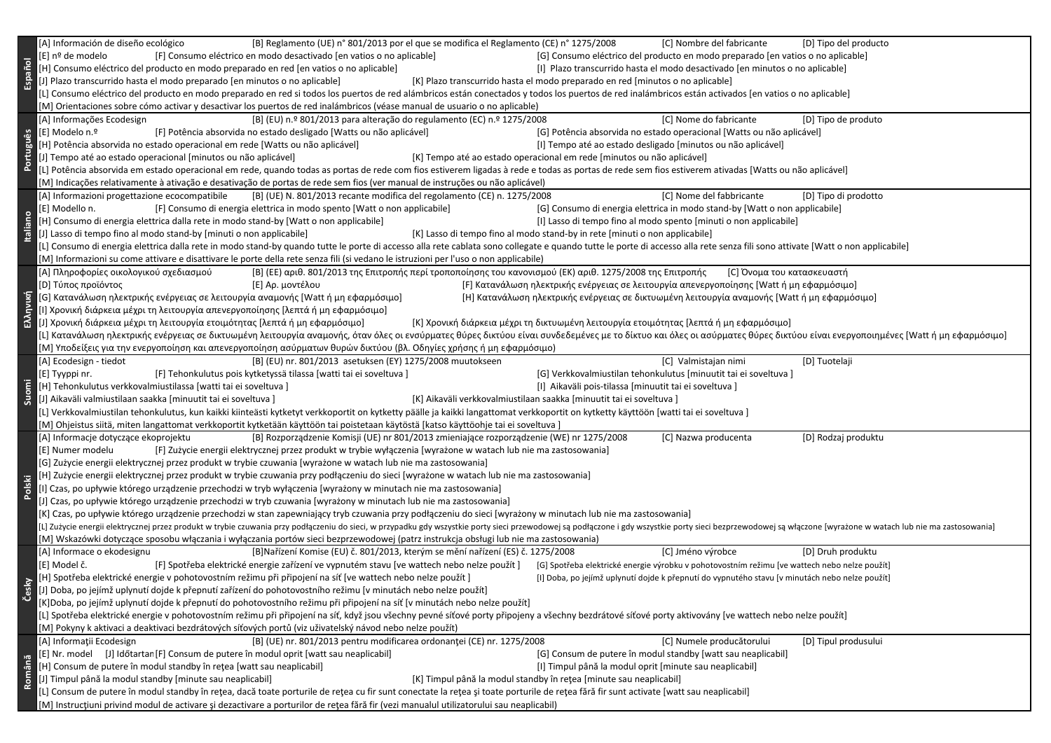|           | [B] Reglamento (UE) n° 801/2013 por el que se modifica el Reglamento (CE) n° 1275/2008<br>[A] Información de diseño ecológico<br>[C] Nombre del fabricante<br>[D] Tipo del producto                                            |  |  |  |  |
|-----------|--------------------------------------------------------------------------------------------------------------------------------------------------------------------------------------------------------------------------------|--|--|--|--|
|           | [F] Consumo eléctrico en modo desactivado [en vatios o no aplicable]<br>[G] Consumo eléctrico del producto en modo preparado [en vatios o no aplicable]<br>[E] nº de modelo                                                    |  |  |  |  |
|           | [H] Consumo eléctrico del producto en modo preparado en red [en vatios o no aplicable]<br>[I] Plazo transcurrido hasta el modo desactivado [en minutos o no aplicable]                                                         |  |  |  |  |
| Español   | [J] Plazo transcurrido hasta el modo preparado [en minutos o no aplicable]<br>[K] Plazo transcurrido hasta el modo preparado en red [minutos o no aplicable]                                                                   |  |  |  |  |
|           | [L] Consumo eléctrico del producto en modo preparado en red si todos los puertos de red alámbricos están conectados y todos los puertos de red inalámbricos están activados [en vatios o no aplicable]                         |  |  |  |  |
|           | [M] Orientaciones sobre cómo activar y desactivar los puertos de red inalámbricos (véase manual de usuario o no aplicable)                                                                                                     |  |  |  |  |
|           | [B] (EU) n.º 801/2013 para alteração do regulamento (EC) n.º 1275/2008<br>[C] Nome do fabricante<br>[A] Informações Ecodesign<br>[D] Tipo de produto                                                                           |  |  |  |  |
|           | [E] Modelo n.º<br>[F] Potência absorvida no estado desligado [Watts ou não aplicável]<br>[G] Potência absorvida no estado operacional [Watts ou não aplicável]                                                                 |  |  |  |  |
|           | [I] Tempo até ao estado desligado [minutos ou não aplicável]<br>[H] Potência absorvida no estado operacional em rede [Watts ou não aplicável]                                                                                  |  |  |  |  |
|           | [J] Tempo até ao estado operacional [minutos ou não aplicável]<br>[K] Tempo até ao estado operacional em rede [minutos ou não aplicável]                                                                                       |  |  |  |  |
| Português |                                                                                                                                                                                                                                |  |  |  |  |
|           | [L] Potência absorvida em estado operacional em rede, quando todas as portas de rede com fios estiverem ligadas à rede e todas as portas de rede sem fios estiverem ativadas [Watts ou não aplicável]                          |  |  |  |  |
|           | [M] Indicações relativamente à ativação e desativação de portas de rede sem fios (ver manual de instruções ou não aplicável)                                                                                                   |  |  |  |  |
|           | [C] Nome del fabbricante<br>[A] Informazioni progettazione ecocompatibile<br>[B] (UE) N. 801/2013 recante modifica del regolamento (CE) n. 1275/2008<br>[D] Tipo di prodotto                                                   |  |  |  |  |
|           | [G] Consumo di energia elettrica in modo stand-by [Watt o non applicabile]<br>[E] Modello n.<br>[F] Consumo di energia elettrica in modo spento [Watt o non applicabile]                                                       |  |  |  |  |
| taliano   | [H] Consumo di energia elettrica dalla rete in modo stand-by [Watt o non applicabile]<br>[I] Lasso di tempo fino al modo spento [minuti o non applicabile]                                                                     |  |  |  |  |
|           | [J] Lasso di tempo fino al modo stand-by [minuti o non applicabile]<br>[K] Lasso di tempo fino al modo stand-by in rete [minuti o non applicabile]                                                                             |  |  |  |  |
|           | [L] Consumo di energia elettrica dalla rete in modo stand-by quando tutte le porte di accesso alla rete cablata sono collegate e quando tutte le porte di accesso alla rete senza fili sono attivate [Watt o non applicabile]  |  |  |  |  |
|           | [M] Informazioni su come attivare e disattivare le porte della rete senza fili (si vedano le istruzioni per l'uso o non applicabile)                                                                                           |  |  |  |  |
|           | [Β] (ΕΕ) αριθ. 801/2013 της Επιτροπής περί τροποποίησης του κανονισμού (ΕΚ) αριθ. 1275/2008 της Επιτροπής<br>[Α] Πληροφορίες οικολογικού σχεδιασμού<br>[C] Όνομα του κατασκευαστή                                              |  |  |  |  |
|           | [D] Τύπος προϊόντος<br>[F] Κατανάλωση ηλεκτρικής ενέργειας σε λειτουργία απενεργοποίησης [Watt ή μη εφαρμόσιμο]<br>[E] Αρ. μοντέλου                                                                                            |  |  |  |  |
|           | [G] Κατανάλωση ηλεκτρικής ενέργειας σε λειτουργία αναμονής [Watt ή μη εφαρμόσιμο]<br>[Η] Κατανάλωση ηλεκτρικής ενέργειας σε δικτυωμένη λειτουργία αναμονής [Watt ή μη εφαρμόσιμο]                                              |  |  |  |  |
| Ελληνική  | [Ι] Χρονική διάρκεια μέχρι τη λειτουργία απενεργοποίησης [λεπτά ή μη εφαρμόσιμο]                                                                                                                                               |  |  |  |  |
|           | [J] Χρονική διάρκεια μέχρι τη λειτουργία ετοιμότητας [λεπτά ή μη εφαρμόσιμο]<br>[Κ] Χρονική διάρκεια μέχρι τη δικτυωμένη λειτουργία ετοιμότητας [λεπτά ή μη εφαρμόσιμο]                                                        |  |  |  |  |
|           | [L] Κατανάλωση ηλεκτρικής ενέργειας σε δικτυωμένη λειτουργία αναμονής, όταν όλες οι ενσύρματες θύρες δικτύου είναι συνδεδεμένες με το δίκτυο και όλες οι ασύρματες θύρες δικτύου είναι ενεργοποιημένες [Watt ή μη εφαρμόσιμο]  |  |  |  |  |
|           | [Μ] Υποδείξεις για την ενεργοποίηση και απενεργοποίηση ασύρματων θυρών δικτύου (βλ. Οδηγίες χρήσης ή μη εφαρμόσιμο)                                                                                                            |  |  |  |  |
|           | [A] Ecodesign - tiedot<br>[B] (EU) nr. 801/2013 asetuksen (EY) 1275/2008 muutokseen<br>[C] Valmistajan nimi<br>[D] Tuotelaji                                                                                                   |  |  |  |  |
|           | [F] Tehonkulutus pois kytketyssä tilassa [watti tai ei soveltuva]<br>[G] Verkkovalmiustilan tehonkulutus [minuutit tai ei soveltuva]<br>[E] Tyyppi nr.                                                                         |  |  |  |  |
| Suomi     | [H] Tehonkulutus verkkovalmiustilassa [watti tai ei soveltuva]<br>[I] Aikaväli pois-tilassa [minuutit tai ei soveltuva]                                                                                                        |  |  |  |  |
|           | [J] Aikaväli valmiustilaan saakka [minuutit tai ei soveltuva ]<br>[K] Aikaväli verkkovalmiustilaan saakka [minuutit tai ei soveltuva]                                                                                          |  |  |  |  |
|           | [L] Verkkovalmiustilan tehonkulutus, kun kaikki kiinteästi kytketyt verkkoportit on kytketty päälle ja kaikki langattomat verkkoportit on kytketty käyttöön [watti tai ei soveltuva]                                           |  |  |  |  |
|           | [M] Ohjeistus siitä, miten langattomat verkkoportit kytketään käyttöön tai poistetaan käytöstä [katso käyttöohje tai ei soveltuva]                                                                                             |  |  |  |  |
|           | [A] Informacje dotyczące ekoprojektu<br>[B] Rozporządzenie Komisji (UE) nr 801/2013 zmieniające rozporządzenie (WE) nr 1275/2008<br>[C] Nazwa producenta<br>[D] Rodzaj produktu                                                |  |  |  |  |
|           | [F] Zużycie energii elektrycznej przez produkt w trybie wyłączenia [wyrażone w watach lub nie ma zastosowania]<br>[E] Numer modelu                                                                                             |  |  |  |  |
|           | [G] Zużycie energii elektrycznej przez produkt w trybie czuwania [wyrażone w watach lub nie ma zastosowania]                                                                                                                   |  |  |  |  |
| ē.        | [H] Zużycie energii elektrycznej przez produkt w trybie czuwania przy podłączeniu do sieci [wyrażone w watach lub nie ma zastosowania]                                                                                         |  |  |  |  |
| _<br>Pol  | [I] Czas, po upływie którego urządzenie przechodzi w tryb wyłączenia [wyrażony w minutach nie ma zastosowania]                                                                                                                 |  |  |  |  |
|           | [J] Czas, po upływie którego urządzenie przechodzi w tryb czuwania [wyrażony w minutach lub nie ma zastosowania]                                                                                                               |  |  |  |  |
|           | [K] Czas, po upływie którego urządzenie przechodzi w stan zapewniający tryb czuwania przy podłączeniu do sieci [wyrażony w minutach lub nie ma zastosowania]                                                                   |  |  |  |  |
|           | [L] Zużycie energii elektrycznej przez produkt w trybie czuwania przy podłączeniu do sieci, w przypadku gdy wszystkie porty sieci przewodowej są podłączone i gdy wszystkie porty sieci bezprzewodowej są włączone [wyrażone w |  |  |  |  |
|           | [M] Wskazówki dotyczące sposobu włączania i wyłączania portów sieci bezprzewodowej (patrz instrukcja obsługi lub nie ma zastosowania)                                                                                          |  |  |  |  |
|           | [A] Informace o ekodesignu<br>[B]Nařízení Komise (EU) č. 801/2013, kterým se mění nařízení (ES) č. 1275/2008<br>[C] Jméno výrobce<br>[D] Druh produktu                                                                         |  |  |  |  |
|           | [E] Model č.<br>[F] Spotřeba elektrické energie zařízení ve vypnutém stavu [ve wattech nebo nelze použít]<br>[G] Spotřeba elektrické energie výrobku v pohotovostním režimu [ve wattech nebo nelze použít]                     |  |  |  |  |
|           | [H] Spotřeba elektrické energie v pohotovostním režimu při připojení na síť [ve wattech nebo nelze použít]<br>[I] Doba, po jejímž uplynutí dojde k přepnutí do vypnutého stavu [v minutách nebo nelze použít]                  |  |  |  |  |
| Cesky     | [J] Doba, po jejímž uplynutí dojde k přepnutí zařízení do pohotovostního režimu [v minutách nebo nelze použít]                                                                                                                 |  |  |  |  |
|           | K]Doba, po jejímž uplynutí dojde k přepnutí do pohotovostního režimu při připojení na síť [v minutách nebo nelze použít]                                                                                                       |  |  |  |  |
|           | [L] Spotřeba elektrické energie v pohotovostním režimu při připojení na síť, když jsou všechny pevné síťové porty připojeny a všechny bezdrátové síťové porty aktivovány [ve wattech nebo nelze použít]                        |  |  |  |  |
|           | [M] Pokyny k aktivaci a deaktivaci bezdrátových síťových portů (viz uživatelský návod nebo nelze použít)                                                                                                                       |  |  |  |  |
|           | [A] Informații Ecodesign<br>[B] (UE) nr. 801/2013 pentru modificarea ordonanței (CE) nr. 1275/2008<br>[C] Numele producătorului<br>[D] Tipul produsului                                                                        |  |  |  |  |
|           | [E] Nr. model [J] Időtartan [F] Consum de putere în modul oprit [watt sau neaplicabil]<br>[G] Consum de putere în modul standby [watt sau neaplicabil]                                                                         |  |  |  |  |
|           | [H] Consum de putere în modul standby în rețea [watt sau neaplicabil]<br>[I] Timpul până la modul oprit [minute sau neaplicabil]                                                                                               |  |  |  |  |
| Română    | [J] Timpul până la modul standby [minute sau neaplicabil]<br>[K] Timpul până la modul standby în rețea [minute sau neaplicabil]                                                                                                |  |  |  |  |
|           | [L] Consum de putere în modul standby în rețea, dacă toate porturile de rețea cu fir sunt conectate la rețea și toate porturile de rețea fără fir sunt activate [watt sau neaplicabil]                                         |  |  |  |  |
|           | [M] Instrucțiuni privind modul de activare și dezactivare a porturilor de rețea fără fir (vezi manualul utilizatorului sau neaplicabil)                                                                                        |  |  |  |  |